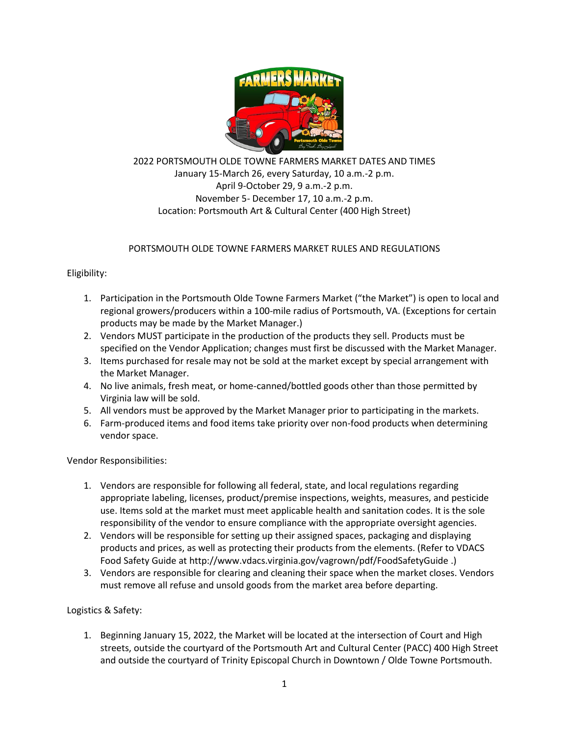

2022 PORTSMOUTH OLDE TOWNE FARMERS MARKET DATES AND TIMES January 15-March 26, every Saturday, 10 a.m.-2 p.m. April 9-October 29, 9 a.m.-2 p.m. November 5- December 17, 10 a.m.-2 p.m. Location: Portsmouth Art & Cultural Center (400 High Street)

# PORTSMOUTH OLDE TOWNE FARMERS MARKET RULES AND REGULATIONS

Eligibility:

- 1. Participation in the Portsmouth Olde Towne Farmers Market ("the Market") is open to local and regional growers/producers within a 100-mile radius of Portsmouth, VA. (Exceptions for certain products may be made by the Market Manager.)
- 2. Vendors MUST participate in the production of the products they sell. Products must be specified on the Vendor Application; changes must first be discussed with the Market Manager.
- 3. Items purchased for resale may not be sold at the market except by special arrangement with the Market Manager.
- 4. No live animals, fresh meat, or home-canned/bottled goods other than those permitted by Virginia law will be sold.
- 5. All vendors must be approved by the Market Manager prior to participating in the markets.
- 6. Farm-produced items and food items take priority over non-food products when determining vendor space.

Vendor Responsibilities:

- 1. Vendors are responsible for following all federal, state, and local regulations regarding appropriate labeling, licenses, product/premise inspections, weights, measures, and pesticide use. Items sold at the market must meet applicable health and sanitation codes. It is the sole responsibility of the vendor to ensure compliance with the appropriate oversight agencies.
- 2. Vendors will be responsible for setting up their assigned spaces, packaging and displaying products and prices, as well as protecting their products from the elements. (Refer to VDACS Food Safety Guide a[t http://www.vdacs.virginia.gov/vagrown/pdf/FoodSafetyGuide](http://www.vdacs.virginia.gov/vagrown/pdf/FoodSafetyGuide) .)
- 3. Vendors are responsible for clearing and cleaning their space when the market closes. Vendors must remove all refuse and unsold goods from the market area before departing.

Logistics & Safety:

1. Beginning January 15, 2022, the Market will be located at the intersection of Court and High streets, outside the courtyard of the Portsmouth Art and Cultural Center (PACC) 400 High Street and outside the courtyard of Trinity Episcopal Church in Downtown / Olde Towne Portsmouth.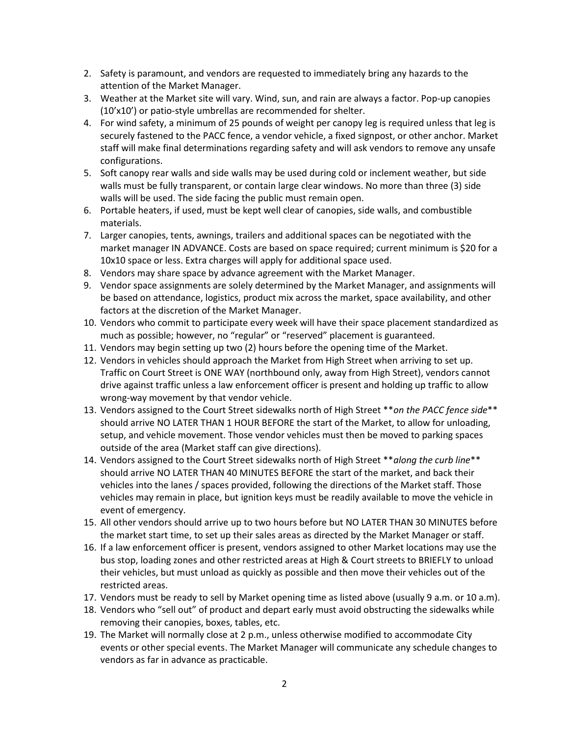- 2. Safety is paramount, and vendors are requested to immediately bring any hazards to the attention of the Market Manager.
- 3. Weather at the Market site will vary. Wind, sun, and rain are always a factor. Pop-up canopies (10'x10') or patio-style umbrellas are recommended for shelter.
- 4. For wind safety, a minimum of 25 pounds of weight per canopy leg is required unless that leg is securely fastened to the PACC fence, a vendor vehicle, a fixed signpost, or other anchor. Market staff will make final determinations regarding safety and will ask vendors to remove any unsafe configurations.
- 5. Soft canopy rear walls and side walls may be used during cold or inclement weather, but side walls must be fully transparent, or contain large clear windows. No more than three (3) side walls will be used. The side facing the public must remain open.
- 6. Portable heaters, if used, must be kept well clear of canopies, side walls, and combustible materials.
- 7. Larger canopies, tents, awnings, trailers and additional spaces can be negotiated with the market manager IN ADVANCE. Costs are based on space required; current minimum is \$20 for a 10x10 space or less. Extra charges will apply for additional space used.
- 8. Vendors may share space by advance agreement with the Market Manager.
- 9. Vendor space assignments are solely determined by the Market Manager, and assignments will be based on attendance, logistics, product mix across the market, space availability, and other factors at the discretion of the Market Manager.
- 10. Vendors who commit to participate every week will have their space placement standardized as much as possible; however, no "regular" or "reserved" placement is guaranteed.
- 11. Vendors may begin setting up two (2) hours before the opening time of the Market.
- 12. Vendors in vehicles should approach the Market from High Street when arriving to set up. Traffic on Court Street is ONE WAY (northbound only, away from High Street), vendors cannot drive against traffic unless a law enforcement officer is present and holding up traffic to allow wrong-way movement by that vendor vehicle.
- 13. Vendors assigned to the Court Street sidewalks north of High Street \*\**on the PACC fence side*\*\* should arrive NO LATER THAN 1 HOUR BEFORE the start of the Market, to allow for unloading, setup, and vehicle movement. Those vendor vehicles must then be moved to parking spaces outside of the area (Market staff can give directions).
- 14. Vendors assigned to the Court Street sidewalks north of High Street \*\**along the curb line*\*\* should arrive NO LATER THAN 40 MINUTES BEFORE the start of the market, and back their vehicles into the lanes / spaces provided, following the directions of the Market staff. Those vehicles may remain in place, but ignition keys must be readily available to move the vehicle in event of emergency.
- 15. All other vendors should arrive up to two hours before but NO LATER THAN 30 MINUTES before the market start time, to set up their sales areas as directed by the Market Manager or staff.
- 16. If a law enforcement officer is present, vendors assigned to other Market locations may use the bus stop, loading zones and other restricted areas at High & Court streets to BRIEFLY to unload their vehicles, but must unload as quickly as possible and then move their vehicles out of the restricted areas.
- 17. Vendors must be ready to sell by Market opening time as listed above (usually 9 a.m. or 10 a.m).
- 18. Vendors who "sell out" of product and depart early must avoid obstructing the sidewalks while removing their canopies, boxes, tables, etc.
- 19. The Market will normally close at 2 p.m., unless otherwise modified to accommodate City events or other special events. The Market Manager will communicate any schedule changes to vendors as far in advance as practicable.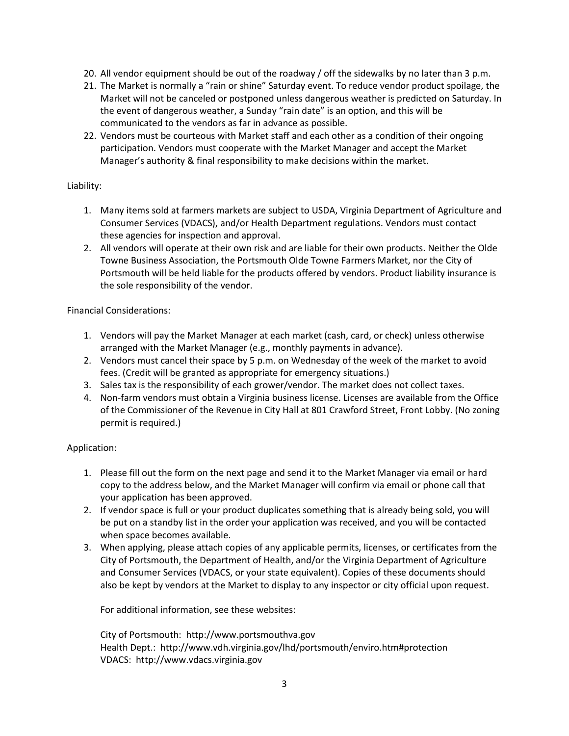- 20. All vendor equipment should be out of the roadway / off the sidewalks by no later than 3 p.m.
- 21. The Market is normally a "rain or shine" Saturday event. To reduce vendor product spoilage, the Market will not be canceled or postponed unless dangerous weather is predicted on Saturday. In the event of dangerous weather, a Sunday "rain date" is an option, and this will be communicated to the vendors as far in advance as possible.
- 22. Vendors must be courteous with Market staff and each other as a condition of their ongoing participation. Vendors must cooperate with the Market Manager and accept the Market Manager's authority & final responsibility to make decisions within the market.

#### Liability:

- 1. Many items sold at farmers markets are subject to USDA, Virginia Department of Agriculture and Consumer Services (VDACS), and/or Health Department regulations. Vendors must contact these agencies for inspection and approval.
- 2. All vendors will operate at their own risk and are liable for their own products. Neither the Olde Towne Business Association, the Portsmouth Olde Towne Farmers Market, nor the City of Portsmouth will be held liable for the products offered by vendors. Product liability insurance is the sole responsibility of the vendor.

### Financial Considerations:

- 1. Vendors will pay the Market Manager at each market (cash, card, or check) unless otherwise arranged with the Market Manager (e.g., monthly payments in advance).
- 2. Vendors must cancel their space by 5 p.m. on Wednesday of the week of the market to avoid fees. (Credit will be granted as appropriate for emergency situations.)
- 3. Sales tax is the responsibility of each grower/vendor. The market does not collect taxes.
- 4. Non-farm vendors must obtain a Virginia business license. Licenses are available from the Office of the Commissioner of the Revenue in City Hall at 801 Crawford Street, Front Lobby. (No zoning permit is required.)

## Application:

- 1. Please fill out the form on the next page and send it to the Market Manager via email or hard copy to the address below, and the Market Manager will confirm via email or phone call that your application has been approved.
- 2. If vendor space is full or your product duplicates something that is already being sold, you will be put on a standby list in the order your application was received, and you will be contacted when space becomes available.
- 3. When applying, please attach copies of any applicable permits, licenses, or certificates from the City of Portsmouth, the Department of Health, and/or the Virginia Department of Agriculture and Consumer Services (VDACS, or your state equivalent). Copies of these documents should also be kept by vendors at the Market to display to any inspector or city official upon request.

For additional information, see these websites:

City of Portsmouth: [http://www.portsmouthva.gov](http://www.portsmouthva.gov/) Health Dept.:<http://www.vdh.virginia.gov/lhd/portsmouth/enviro.htm#protection> VDACS: [http://www.vdacs.virginia.gov](http://www.vdacs.virginia.gov/)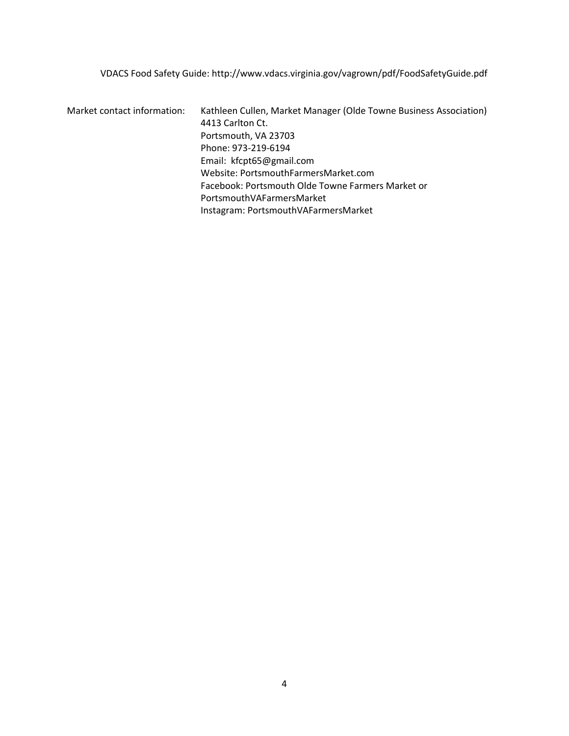VDACS Food Safety Guide:<http://www.vdacs.virginia.gov/vagrown/pdf/FoodSafetyGuide.pdf>

Market contact information: Kathleen Cullen, Market Manager (Olde Towne Business Association) 4413 Carlton Ct. Portsmouth, VA 23703 Phone: 973-219-6194 Email: [kfcpt65@gmail.com](mailto:kfcpt65@gmail.com) Website: PortsmouthFarmersMarket.com Facebook: Portsmouth Olde Towne Farmers Market or PortsmouthVAFarmersMarket Instagram: PortsmouthVAFarmersMarket